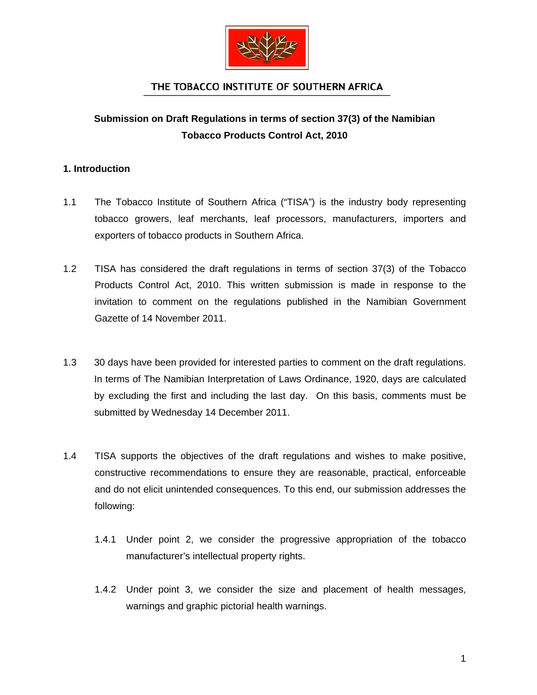

# THE TOBACCO INSTITUTE OF SOUTHERN AFRICA

# **Submission on Draft Regulations in terms of section 37(3) of the Namibian Tobacco Products Control Act, 2010**

### **1. Introduction**

- 1.1 The Tobacco Institute of Southern Africa ("TISA") is the industry body representing tobacco growers, leaf merchants, leaf processors, manufacturers, importers and exporters of tobacco products in Southern Africa.
- 1.2 TISA has considered the draft regulations in terms of section 37(3) of the Tobacco Products Control Act, 2010. This written submission is made in response to the invitation to comment on the regulations published in the Namibian Government Gazette of 14 November 2011.
- 1.3 30 days have been provided for interested parties to comment on the draft regulations. In terms of The Namibian Interpretation of Laws Ordinance, 1920, days are calculated by excluding the first and including the last day. On this basis, comments must be submitted by Wednesday 14 December 2011.
- 1.4 TISA supports the objectives of the draft regulations and wishes to make positive, constructive recommendations to ensure they are reasonable, practical, enforceable and do not elicit unintended consequences. To this end, our submission addresses the following:
	- 1.4.1 Under point 2, we consider the progressive appropriation of the tobacco manufacturer's intellectual property rights.
	- 1.4.2 Under point 3, we consider the size and placement of health messages, warnings and graphic pictorial health warnings.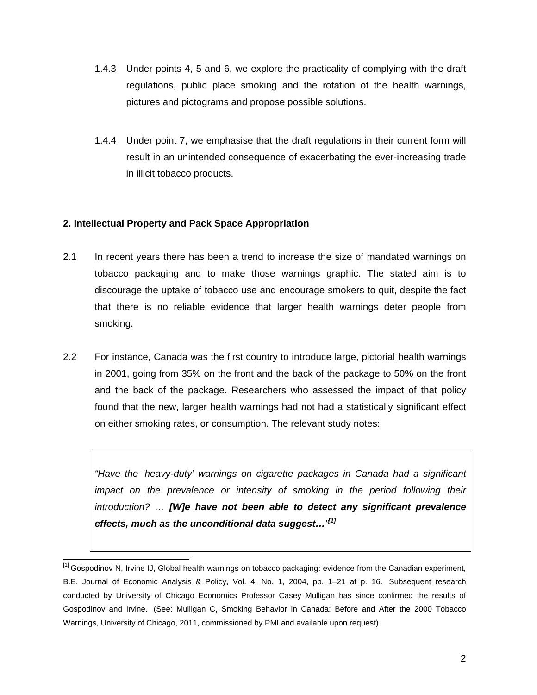- 1.4.3 Under points 4, 5 and 6, we explore the practicality of complying with the draft regulations, public place smoking and the rotation of the health warnings, pictures and pictograms and propose possible solutions.
- 1.4.4 Under point 7, we emphasise that the draft regulations in their current form will result in an unintended consequence of exacerbating the ever-increasing trade in illicit tobacco products.

### **2. Intellectual Property and Pack Space Appropriation**

- 2.1 In recent years there has been a trend to increase the size of mandated warnings on tobacco packaging and to make those warnings graphic. The stated aim is to discourage the uptake of tobacco use and encourage smokers to quit, despite the fact that there is no reliable evidence that larger health warnings deter people from smoking.
- 2.2 For instance, Canada was the first country to introduce large, pictorial health warnings in 2001, going from 35% on the front and the back of the package to 50% on the front and the back of the package. Researchers who assessed the impact of that policy found that the new, larger health warnings had not had a statistically significant effect on either smoking rates, or consumption. The relevant study notes:

*"Have the 'heavy-duty' warnings on cigarette packages in Canada had a significant impact on the prevalence or intensity of smoking in the period following their introduction? … [W]e have not been able to detect any significant prevalence effects, much as the unconditional data suggest…" [1]*

 $\overline{\phantom{a}}$ <sup>[1]</sup> Gospodinov N, Irvine IJ, Global health warnings on tobacco packaging: evidence from the Canadian experiment, B.E. Journal of Economic Analysis & Policy, Vol. 4, No. 1, 2004, pp. 1–21 at p. 16. Subsequent research conducted by University of Chicago Economics Professor Casey Mulligan has since confirmed the results of Gospodinov and Irvine. (See: Mulligan C, Smoking Behavior in Canada: Before and After the 2000 Tobacco Warnings, University of Chicago, 2011, commissioned by PMI and available upon request).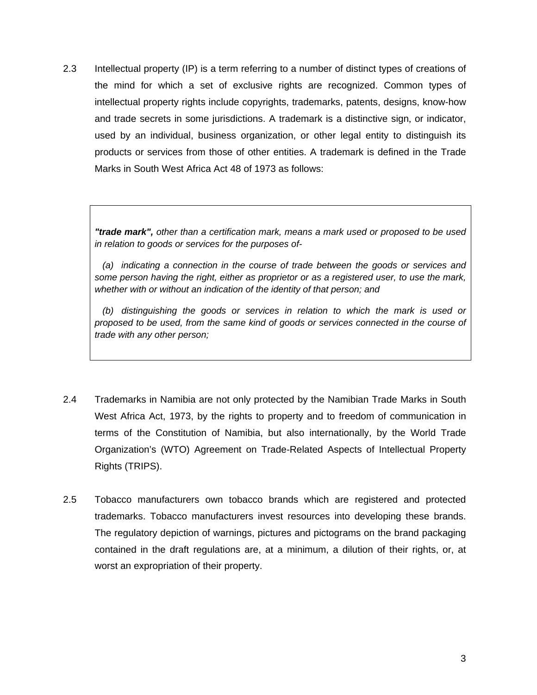2.3 Intellectual property (IP) is a term referring to a number of distinct types of creations of the mind for which a set of exclusive rights are recognized. Common types of intellectual property rights include copyrights, trademarks, patents, designs, know-how and trade secrets in some jurisdictions. A trademark is a distinctive sign, or indicator, used by an individual, business organization, or other legal entity to distinguish its products or services from those of other entities. A trademark is defined in the Trade Marks in South West Africa Act 48 of 1973 as follows:

*"trade mark", other than a certification mark, means a mark used or proposed to be used in relation to goods or services for the purposes of-* 

 *(a) indicating a connection in the course of trade between the goods or services and some person having the right, either as proprietor or as a registered user, to use the mark, whether with or without an indication of the identity of that person; and* 

 *(b) distinguishing the goods or services in relation to which the mark is used or proposed to be used, from the same kind of goods or services connected in the course of trade with any other person;* 

- 2.4 Trademarks in Namibia are not only protected by the Namibian Trade Marks in South West Africa Act, 1973, by the rights to property and to freedom of communication in terms of the Constitution of Namibia, but also internationally, by the World Trade Organization's (WTO) Agreement on Trade-Related Aspects of Intellectual Property Rights (TRIPS).
- 2.5 Tobacco manufacturers own tobacco brands which are registered and protected trademarks. Tobacco manufacturers invest resources into developing these brands. The regulatory depiction of warnings, pictures and pictograms on the brand packaging contained in the draft regulations are, at a minimum, a dilution of their rights, or, at worst an expropriation of their property.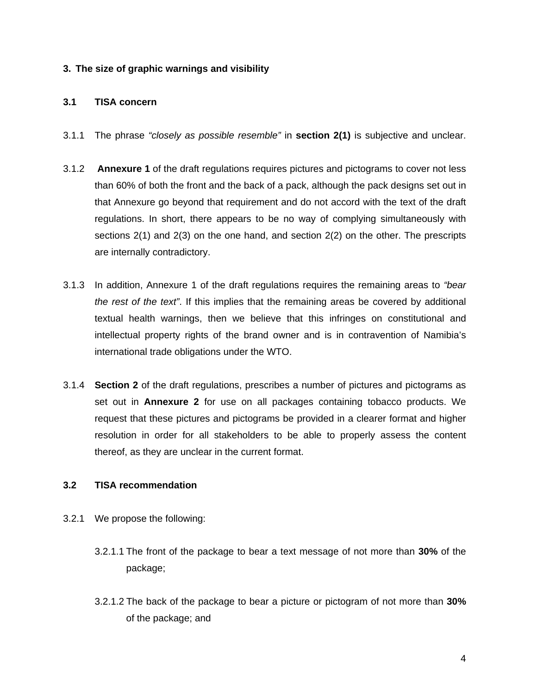### **3. The size of graphic warnings and visibility**

### **3.1 TISA concern**

- 3.1.1 The phrase *"closely as possible resemble"* in **section 2(1)** is subjective and unclear.
- 3.1.2 **Annexure 1** of the draft regulations requires pictures and pictograms to cover not less than 60% of both the front and the back of a pack, although the pack designs set out in that Annexure go beyond that requirement and do not accord with the text of the draft regulations. In short, there appears to be no way of complying simultaneously with sections 2(1) and 2(3) on the one hand, and section 2(2) on the other. The prescripts are internally contradictory.
- 3.1.3 In addition, Annexure 1 of the draft regulations requires the remaining areas to *"bear the rest of the text"*. If this implies that the remaining areas be covered by additional textual health warnings, then we believe that this infringes on constitutional and intellectual property rights of the brand owner and is in contravention of Namibia's international trade obligations under the WTO.
- 3.1.4 **Section 2** of the draft regulations, prescribes a number of pictures and pictograms as set out in **Annexure 2** for use on all packages containing tobacco products. We request that these pictures and pictograms be provided in a clearer format and higher resolution in order for all stakeholders to be able to properly assess the content thereof, as they are unclear in the current format.

### **3.2 TISA recommendation**

- 3.2.1 We propose the following:
	- 3.2.1.1 The front of the package to bear a text message of not more than **30%** of the package;
	- 3.2.1.2 The back of the package to bear a picture or pictogram of not more than **30%** of the package; and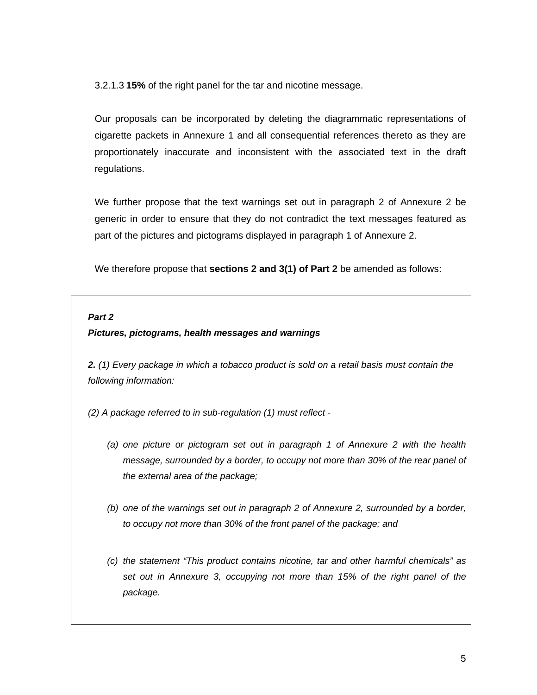3.2.1.3 **15%** of the right panel for the tar and nicotine message.

Our proposals can be incorporated by deleting the diagrammatic representations of cigarette packets in Annexure 1 and all consequential references thereto as they are proportionately inaccurate and inconsistent with the associated text in the draft regulations.

We further propose that the text warnings set out in paragraph 2 of Annexure 2 be generic in order to ensure that they do not contradict the text messages featured as part of the pictures and pictograms displayed in paragraph 1 of Annexure 2.

We therefore propose that **sections 2 and 3(1) of Part 2** be amended as follows:

#### *Part 2*

#### *Pictures, pictograms, health messages and warnings*

*2. (1) Every package in which a tobacco product is sold on a retail basis must contain the following information:* 

*(2) A package referred to in sub-regulation (1) must reflect -* 

- *(a) one picture or pictogram set out in paragraph 1 of Annexure 2 with the health message, surrounded by a border, to occupy not more than 30% of the rear panel of the external area of the package;*
- *(b) one of the warnings set out in paragraph 2 of Annexure 2, surrounded by a border, to occupy not more than 30% of the front panel of the package; and*
- *(c) the statement "This product contains nicotine, tar and other harmful chemicals" as set out in Annexure 3, occupying not more than 15% of the right panel of the package.*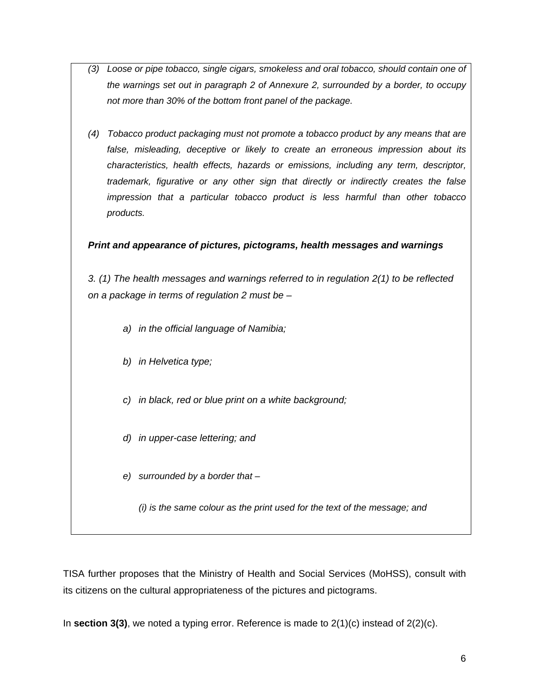| Loose or pipe tobacco, single cigars, smokeless and oral tobacco, should contain one of |
|-----------------------------------------------------------------------------------------|
| the warnings set out in paragraph 2 of Annexure 2, surrounded by a border, to occupy    |
| not more than 30% of the bottom front panel of the package.                             |
|                                                                                         |

*(4) Tobacco product packaging must not promote a tobacco product by any means that are false, misleading, deceptive or likely to create an erroneous impression about its characteristics, health effects, hazards or emissions, including any term, descriptor, trademark, figurative or any other sign that directly or indirectly creates the false impression that a particular tobacco product is less harmful than other tobacco products.* 

*Print and appearance of pictures, pictograms, health messages and warnings* 

*3. (1) The health messages and warnings referred to in regulation 2(1) to be reflected on a package in terms of regulation 2 must be –* 

- *a) in the official language of Namibia;*
- *b) in Helvetica type;*
- *c) in black, red or blue print on a white background;*
- *d) in upper-case lettering; and*
- *e) surrounded by a border that*

*(i) is the same colour as the print used for the text of the message; and* 

TISA further proposes that the Ministry of Health and Social Services (MoHSS), consult with its citizens on the cultural appropriateness of the pictures and pictograms.

In **section 3(3)**, we noted a typing error. Reference is made to 2(1)(c) instead of 2(2)(c).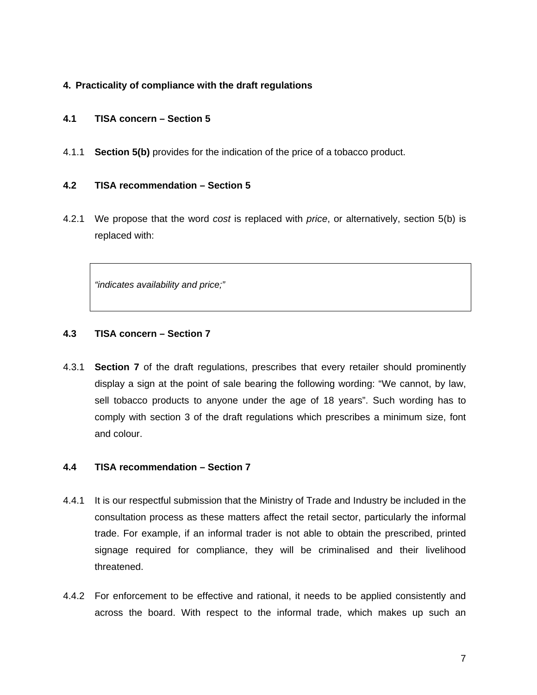### **4. Practicality of compliance with the draft regulations**

### **4.1 TISA concern – Section 5**

4.1.1 **Section 5(b)** provides for the indication of the price of a tobacco product.

#### **4.2 TISA recommendation – Section 5**

4.2.1 We propose that the word *cost* is replaced with *price*, or alternatively, section 5(b) is replaced with:

*"indicates availability and price;"* 

### **4.3 TISA concern – Section 7**

4.3.1 **Section 7** of the draft regulations, prescribes that every retailer should prominently display a sign at the point of sale bearing the following wording: "We cannot, by law, sell tobacco products to anyone under the age of 18 years". Such wording has to comply with section 3 of the draft regulations which prescribes a minimum size, font and colour.

#### **4.4 TISA recommendation – Section 7**

- 4.4.1 It is our respectful submission that the Ministry of Trade and Industry be included in the consultation process as these matters affect the retail sector, particularly the informal trade. For example, if an informal trader is not able to obtain the prescribed, printed signage required for compliance, they will be criminalised and their livelihood threatened.
- 4.4.2 For enforcement to be effective and rational, it needs to be applied consistently and across the board. With respect to the informal trade, which makes up such an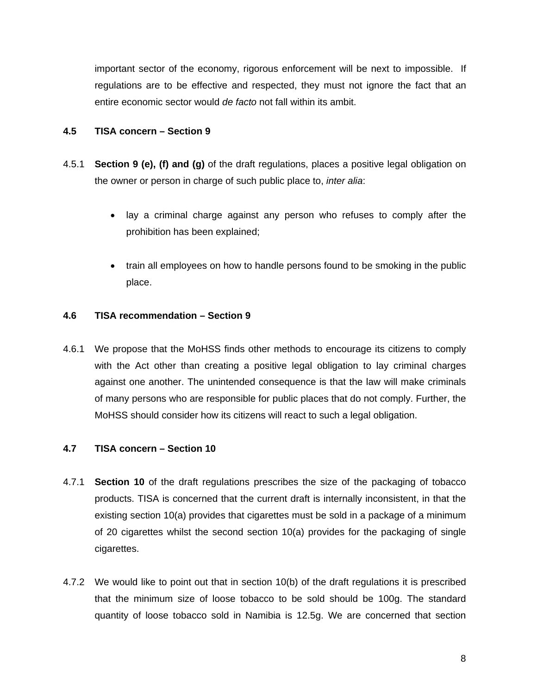important sector of the economy, rigorous enforcement will be next to impossible. If regulations are to be effective and respected, they must not ignore the fact that an entire economic sector would *de facto* not fall within its ambit.

### **4.5 TISA concern – Section 9**

- 4.5.1 **Section 9 (e), (f) and (g)** of the draft regulations, places a positive legal obligation on the owner or person in charge of such public place to, *inter alia*:
	- lay a criminal charge against any person who refuses to comply after the prohibition has been explained;
	- train all employees on how to handle persons found to be smoking in the public place.

### **4.6 TISA recommendation – Section 9**

4.6.1 We propose that the MoHSS finds other methods to encourage its citizens to comply with the Act other than creating a positive legal obligation to lay criminal charges against one another. The unintended consequence is that the law will make criminals of many persons who are responsible for public places that do not comply. Further, the MoHSS should consider how its citizens will react to such a legal obligation.

## **4.7 TISA concern – Section 10**

- 4.7.1 **Section 10** of the draft regulations prescribes the size of the packaging of tobacco products. TISA is concerned that the current draft is internally inconsistent, in that the existing section 10(a) provides that cigarettes must be sold in a package of a minimum of 20 cigarettes whilst the second section 10(a) provides for the packaging of single cigarettes.
- 4.7.2 We would like to point out that in section 10(b) of the draft regulations it is prescribed that the minimum size of loose tobacco to be sold should be 100g. The standard quantity of loose tobacco sold in Namibia is 12.5g. We are concerned that section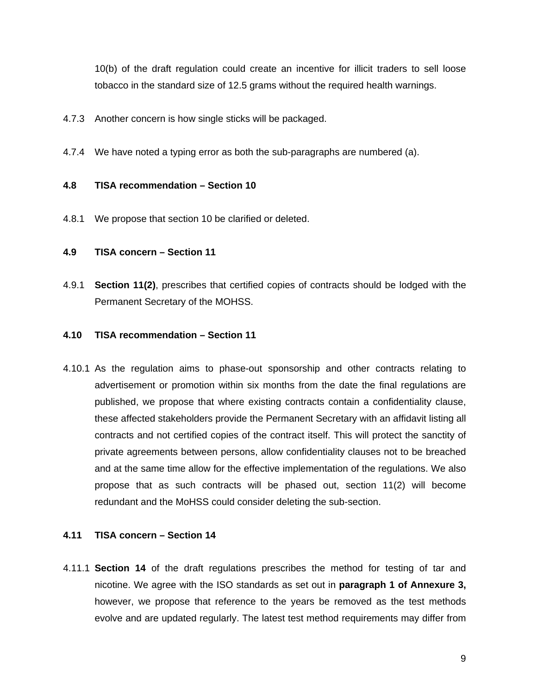10(b) of the draft regulation could create an incentive for illicit traders to sell loose tobacco in the standard size of 12.5 grams without the required health warnings.

- 4.7.3 Another concern is how single sticks will be packaged.
- 4.7.4 We have noted a typing error as both the sub-paragraphs are numbered (a).

### **4.8 TISA recommendation – Section 10**

4.8.1 We propose that section 10 be clarified or deleted.

## **4.9 TISA concern – Section 11**

4.9.1 **Section 11(2)**, prescribes that certified copies of contracts should be lodged with the Permanent Secretary of the MOHSS.

### **4.10 TISA recommendation – Section 11**

4.10.1 As the regulation aims to phase-out sponsorship and other contracts relating to advertisement or promotion within six months from the date the final regulations are published, we propose that where existing contracts contain a confidentiality clause, these affected stakeholders provide the Permanent Secretary with an affidavit listing all contracts and not certified copies of the contract itself. This will protect the sanctity of private agreements between persons, allow confidentiality clauses not to be breached and at the same time allow for the effective implementation of the regulations. We also propose that as such contracts will be phased out, section 11(2) will become redundant and the MoHSS could consider deleting the sub-section.

### **4.11 TISA concern – Section 14**

4.11.1 **Section 14** of the draft regulations prescribes the method for testing of tar and nicotine. We agree with the ISO standards as set out in **paragraph 1 of Annexure 3,** however, we propose that reference to the years be removed as the test methods evolve and are updated regularly. The latest test method requirements may differ from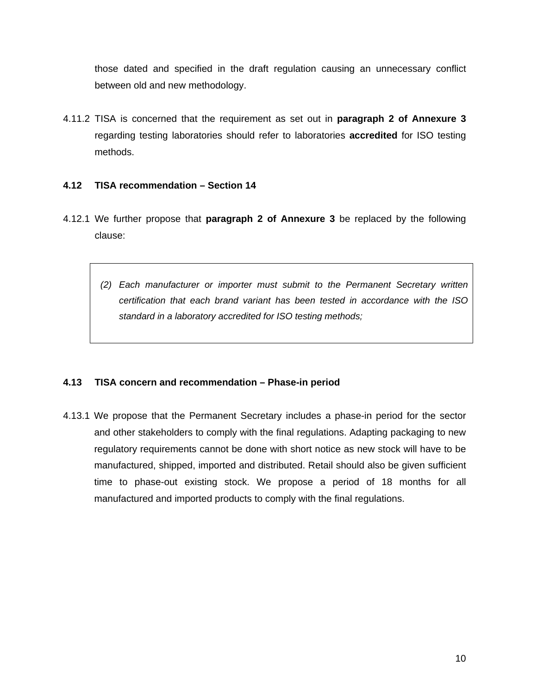those dated and specified in the draft regulation causing an unnecessary conflict between old and new methodology.

4.11.2 TISA is concerned that the requirement as set out in **paragraph 2 of Annexure 3** regarding testing laboratories should refer to laboratories **accredited** for ISO testing methods.

### **4.12 TISA recommendation – Section 14**

- 4.12.1 We further propose that **paragraph 2 of Annexure 3** be replaced by the following clause:
	- *(2) Each manufacturer or importer must submit to the Permanent Secretary written certification that each brand variant has been tested in accordance with the ISO standard in a laboratory accredited for ISO testing methods;*

### **4.13 TISA concern and recommendation – Phase-in period**

4.13.1 We propose that the Permanent Secretary includes a phase-in period for the sector and other stakeholders to comply with the final regulations. Adapting packaging to new regulatory requirements cannot be done with short notice as new stock will have to be manufactured, shipped, imported and distributed. Retail should also be given sufficient time to phase-out existing stock. We propose a period of 18 months for all manufactured and imported products to comply with the final regulations.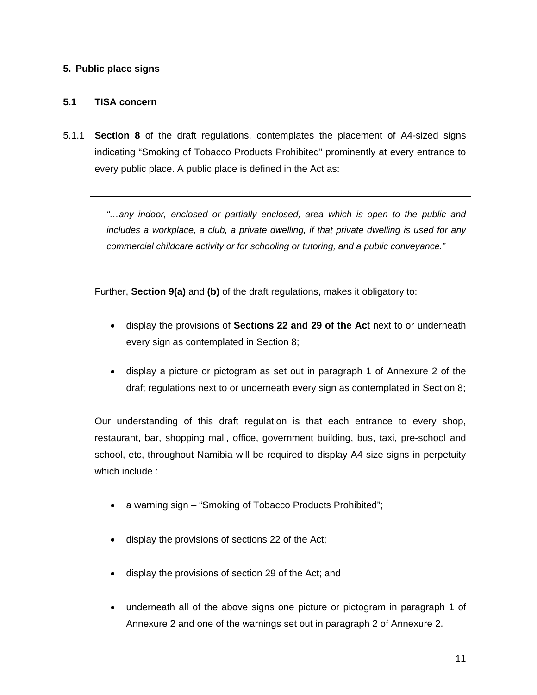## **5. Public place signs**

# **5.1 TISA concern**

5.1.1 **Section 8** of the draft regulations, contemplates the placement of A4-sized signs indicating "Smoking of Tobacco Products Prohibited" prominently at every entrance to every public place. A public place is defined in the Act as:

> *"…any indoor, enclosed or partially enclosed, area which is open to the public and includes a workplace, a club, a private dwelling, if that private dwelling is used for any commercial childcare activity or for schooling or tutoring, and a public conveyance."*

Further, **Section 9(a)** and **(b)** of the draft regulations, makes it obligatory to:

- display the provisions of **Sections 22 and 29 of the Ac**t next to or underneath every sign as contemplated in Section 8;
- display a picture or pictogram as set out in paragraph 1 of Annexure 2 of the draft regulations next to or underneath every sign as contemplated in Section 8;

Our understanding of this draft regulation is that each entrance to every shop, restaurant, bar, shopping mall, office, government building, bus, taxi, pre-school and school, etc, throughout Namibia will be required to display A4 size signs in perpetuity which include :

- a warning sign "Smoking of Tobacco Products Prohibited";
- display the provisions of sections 22 of the Act;
- display the provisions of section 29 of the Act; and
- underneath all of the above signs one picture or pictogram in paragraph 1 of Annexure 2 and one of the warnings set out in paragraph 2 of Annexure 2.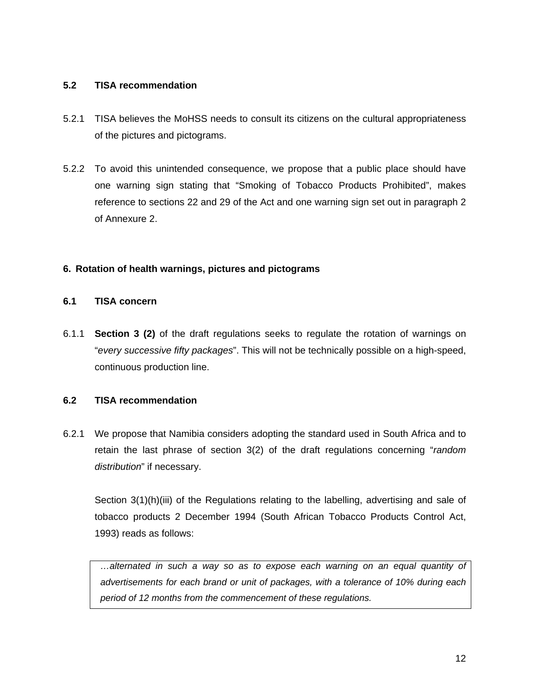### **5.2 TISA recommendation**

- 5.2.1 TISA believes the MoHSS needs to consult its citizens on the cultural appropriateness of the pictures and pictograms.
- 5.2.2 To avoid this unintended consequence, we propose that a public place should have one warning sign stating that "Smoking of Tobacco Products Prohibited", makes reference to sections 22 and 29 of the Act and one warning sign set out in paragraph 2 of Annexure 2.

## **6. Rotation of health warnings, pictures and pictograms**

## **6.1 TISA concern**

6.1.1 **Section 3 (2)** of the draft regulations seeks to regulate the rotation of warnings on "*every successive fifty packages*". This will not be technically possible on a high-speed, continuous production line.

### **6.2 TISA recommendation**

6.2.1 We propose that Namibia considers adopting the standard used in South Africa and to retain the last phrase of section 3(2) of the draft regulations concerning "*random distribution*" if necessary.

Section 3(1)(h)(iii) of the Regulations relating to the labelling, advertising and sale of tobacco products 2 December 1994 (South African Tobacco Products Control Act, 1993) reads as follows:

*…alternated in such a way so as to expose each warning on an equal quantity of advertisements for each brand or unit of packages, with a tolerance of 10% during each period of 12 months from the commencement of these regulations.*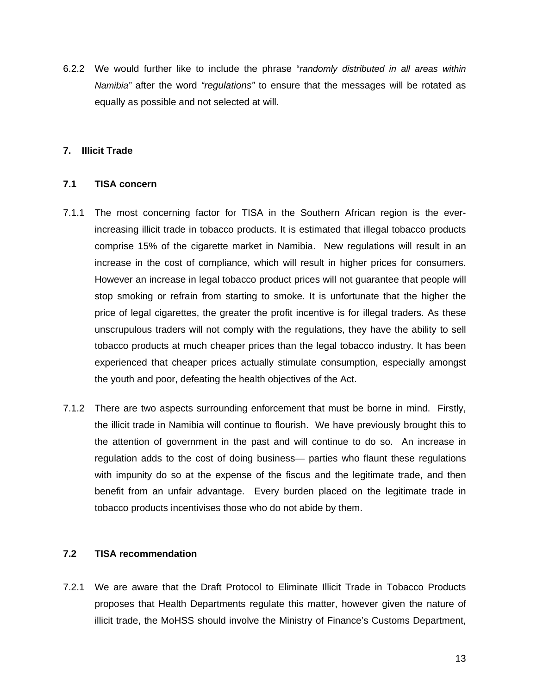6.2.2 We would further like to include the phrase "*randomly distributed in all areas within Namibia"* after the word *"regulations"* to ensure that the messages will be rotated as equally as possible and not selected at will.

#### **7. Illicit Trade**

#### **7.1 TISA concern**

- 7.1.1 The most concerning factor for TISA in the Southern African region is the everincreasing illicit trade in tobacco products. It is estimated that illegal tobacco products comprise 15% of the cigarette market in Namibia. New regulations will result in an increase in the cost of compliance, which will result in higher prices for consumers. However an increase in legal tobacco product prices will not guarantee that people will stop smoking or refrain from starting to smoke. It is unfortunate that the higher the price of legal cigarettes, the greater the profit incentive is for illegal traders. As these unscrupulous traders will not comply with the regulations, they have the ability to sell tobacco products at much cheaper prices than the legal tobacco industry. It has been experienced that cheaper prices actually stimulate consumption, especially amongst the youth and poor, defeating the health objectives of the Act.
- 7.1.2 There are two aspects surrounding enforcement that must be borne in mind. Firstly, the illicit trade in Namibia will continue to flourish. We have previously brought this to the attention of government in the past and will continue to do so. An increase in regulation adds to the cost of doing business— parties who flaunt these regulations with impunity do so at the expense of the fiscus and the legitimate trade, and then benefit from an unfair advantage. Every burden placed on the legitimate trade in tobacco products incentivises those who do not abide by them.

#### **7.2 TISA recommendation**

7.2.1 We are aware that the Draft Protocol to Eliminate Illicit Trade in Tobacco Products proposes that Health Departments regulate this matter, however given the nature of illicit trade, the MoHSS should involve the Ministry of Finance's Customs Department,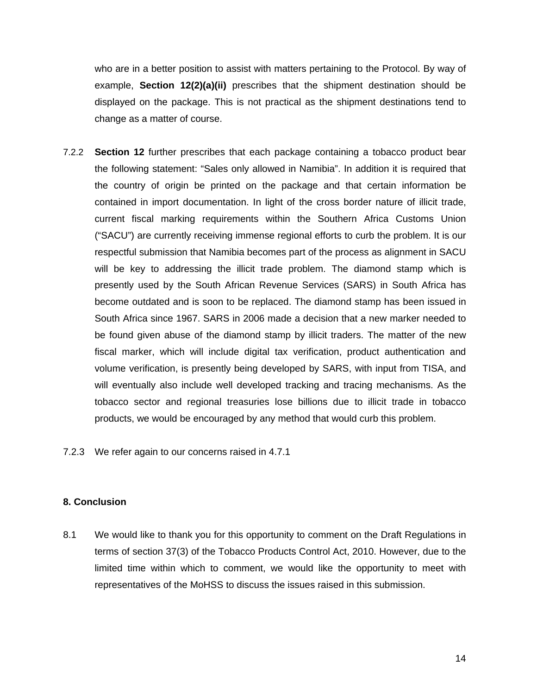who are in a better position to assist with matters pertaining to the Protocol. By way of example, **Section 12(2)(a)(ii)** prescribes that the shipment destination should be displayed on the package. This is not practical as the shipment destinations tend to change as a matter of course.

- 7.2.2 **Section 12** further prescribes that each package containing a tobacco product bear the following statement: "Sales only allowed in Namibia". In addition it is required that the country of origin be printed on the package and that certain information be contained in import documentation. In light of the cross border nature of illicit trade, current fiscal marking requirements within the Southern Africa Customs Union ("SACU") are currently receiving immense regional efforts to curb the problem. It is our respectful submission that Namibia becomes part of the process as alignment in SACU will be key to addressing the illicit trade problem. The diamond stamp which is presently used by the South African Revenue Services (SARS) in South Africa has become outdated and is soon to be replaced. The diamond stamp has been issued in South Africa since 1967. SARS in 2006 made a decision that a new marker needed to be found given abuse of the diamond stamp by illicit traders. The matter of the new fiscal marker, which will include digital tax verification, product authentication and volume verification, is presently being developed by SARS, with input from TISA, and will eventually also include well developed tracking and tracing mechanisms. As the tobacco sector and regional treasuries lose billions due to illicit trade in tobacco products, we would be encouraged by any method that would curb this problem.
- 7.2.3 We refer again to our concerns raised in 4.7.1

#### **8. Conclusion**

8.1 We would like to thank you for this opportunity to comment on the Draft Regulations in terms of section 37(3) of the Tobacco Products Control Act, 2010. However, due to the limited time within which to comment, we would like the opportunity to meet with representatives of the MoHSS to discuss the issues raised in this submission.